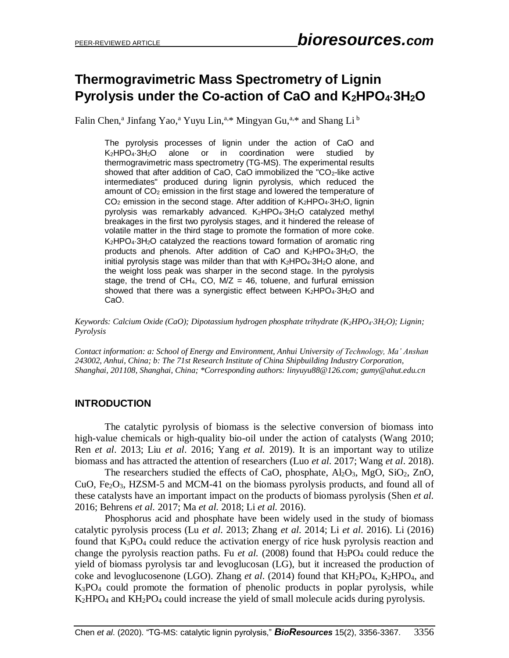# **Thermogravimetric Mass Spectrometry of Lignin Pyrolysis under the Co-action of CaO and K2HPO43H2O**

Falin Chen,<sup>a</sup> Jinfang Yao,<sup>a</sup> Yuyu Lin,<sup>a,\*</sup> Mingyan Gu,<sup>a,\*</sup> and Shang Li<sup>b</sup>

The pyrolysis processes of lignin under the action of CaO and K2HPO43H2O alone or in coordination were studied by thermogravimetric mass spectrometry (TG-MS). The experimental results showed that after addition of CaO, CaO immobilized the "CO<sub>2</sub>-like active intermediates" produced during lignin pyrolysis, which reduced the amount of CO<sub>2</sub> emission in the first stage and lowered the temperature of  $CO<sub>2</sub>$  emission in the second stage. After addition of  $K<sub>2</sub>HPO<sub>4</sub>·3H<sub>2</sub>O$ , lignin pyrolysis was remarkably advanced. K2HPO43H2O catalyzed methyl breakages in the first two pyrolysis stages, and it hindered the release of volatile matter in the third stage to promote the formation of more coke.  $K_2HPO_4 \cdot 3H_2O$  catalyzed the reactions toward formation of aromatic ring products and phenols. After addition of CaO and K2HPO4-3H2O, the initial pyrolysis stage was milder than that with  $K_2HPO_4 \cdot 3H_2O$  alone, and the weight loss peak was sharper in the second stage. In the pyrolysis stage, the trend of  $CH_4$ , CO, M/Z = 46, toluene, and furfural emission showed that there was a synergistic effect between  $K_2HPO_4 \cdot 3H_2O$  and CaO.

*Keywords: Calcium Oxide (CaO); Dipotassium hydrogen phosphate trihydrate (K2HPO43H2O); Lignin; Pyrolysis*

*Contact information: a: School of Energy and Environment, Anhui University of Technology, Ma' Anshan 243002, Anhui, China; b: The 71st Research Institute of China Shipbuilding Industry Corporation, Shanghai, 201108, Shanghai, China; \*Corresponding authors: linyuyu88@126.com; [gumy@ahut.edu.cn](mailto:gumy@ahut.edu.cn)*

# **INTRODUCTION**

The catalytic pyrolysis of biomass is the selective conversion of biomass into high-value chemicals or high-quality bio-oil under the action of catalysts (Wang 2010; Ren *et al*. 2013; Liu *et al*. 2016; Yang *et al.* 2019). It is an important way to utilize biomass and has attracted the attention of researchers (Luo *et al*. 2017; Wang *et al*. 2018).

The researchers studied the effects of CaO, phosphate,  $Al_2O_3$ ,  $MgO$ ,  $SiO_2$ ,  $ZnO$ , CuO, Fe2O3, HZSM-5 and MCM-41 on the biomass pyrolysis products, and found all of these catalysts have an important impact on the products of biomass pyrolysis (Shen *et al.* 2016; Behrens *et al.* 2017; Ma *et al.* 2018; Li *et al.* 2016).

Phosphorus acid and phosphate have been widely used in the study of biomass catalytic pyrolysis process (Lu *et al*. 2013; Zhang *et al*. 2014; Li *et al*. 2016). Li (2016) found that  $K_3PO_4$  could reduce the activation energy of rice husk pyrolysis reaction and change the pyrolysis reaction paths. Fu *et al.* (2008) found that  $H_3PO_4$  could reduce the yield of biomass pyrolysis tar and levoglucosan (LG), but it increased the production of coke and levoglucosenone (LGO). Zhang *et al.* (2014) found that  $KH_2PO_4$ , K<sub>2</sub>HPO<sub>4</sub>, and K3PO<sup>4</sup> could promote the formation of phenolic products in poplar pyrolysis, while K2HPO<sup>4</sup> and KH2PO<sup>4</sup> could increase the yield of small molecule acids during pyrolysis.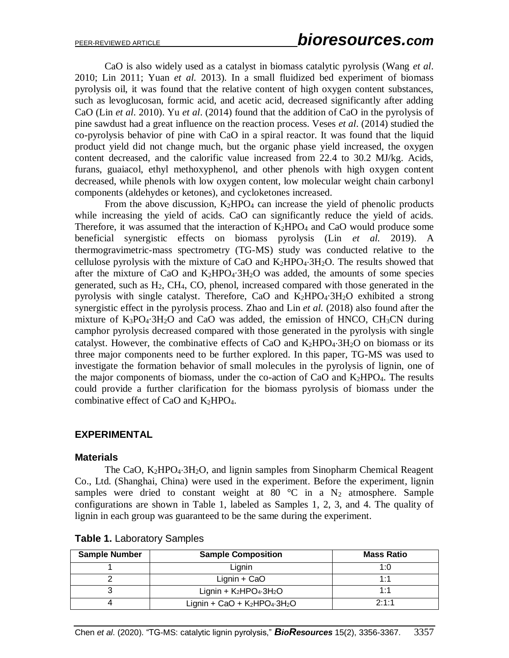CaO is also widely used as a catalyst in biomass catalytic pyrolysis (Wang *et al*. 2010; Lin 2011; Yuan *et al.* 2013). In a small fluidized bed experiment of biomass pyrolysis oil, it was found that the relative content of high oxygen content substances, such as levoglucosan, formic acid, and acetic acid, decreased significantly after adding CaO (Lin *et al*. 2010). Yu *et al*. (2014) found that the addition of CaO in the pyrolysis of pine sawdust had a great influence on the reaction process. Veses *et al*. (2014) studied the co-pyrolysis behavior of pine with CaO in a spiral reactor. It was found that the liquid product yield did not change much, but the organic phase yield increased, the oxygen content decreased, and the calorific value increased from 22.4 to 30.2 MJ/kg. Acids, furans, guaiacol, ethyl methoxyphenol, and other phenols with high oxygen content decreased, while phenols with low oxygen content, low molecular weight chain carbonyl components (aldehydes or ketones), and cycloketones increased.

From the above discussion,  $K_2HPO_4$  can increase the yield of phenolic products while increasing the yield of acids. CaO can significantly reduce the yield of acids. Therefore, it was assumed that the interaction of  $K_2HPO_4$  and CaO would produce some beneficial synergistic effects on biomass pyrolysis (Lin *et al.* 2019). A thermogravimetric-mass spectrometry (TG-MS) study was conducted relative to the cellulose pyrolysis with the mixture of CaO and  $K_2HPO_4 \cdot 3H_2O$ . The results showed that after the mixture of CaO and K2HPO4∙3H2O was added, the amounts of some species generated, such as  $H_2$ , CH<sub>4</sub>, CO, phenol, increased compared with those generated in the pyrolysis with single catalyst. Therefore, CaO and K2HPO4∙3H2O exhibited a strong synergistic effect in the pyrolysis process. Zhao and Lin *et al.* (2018) also found after the mixture of K3PO4∙3H2O and CaO was added, the emission of HNCO, CH3CN during camphor pyrolysis decreased compared with those generated in the pyrolysis with single catalyst. However, the combinative effects of CaO and  $K_2HPO_4 \cdot 3H_2O$  on biomass or its three major components need to be further explored. In this paper, TG-MS was used to investigate the formation behavior of small molecules in the pyrolysis of lignin, one of the major components of biomass, under the co-action of CaO and  $K_2HPO_4$ . The results could provide a further clarification for the biomass pyrolysis of biomass under the combinative effect of CaO and  $K_2HPO_4$ .

#### **EXPERIMENTAL**

#### **Materials**

The CaO,  $K_2HPO_4 \cdot 3H_2O$ , and lignin samples from Sinopharm Chemical Reagent Co., Ltd. (Shanghai, China) were used in the experiment. Before the experiment, lignin samples were dried to constant weight at 80  $^{\circ}$ C in a N<sub>2</sub> atmosphere. Sample configurations are shown in Table 1, labeled as Samples 1, 2, 3, and 4. The quality of lignin in each group was guaranteed to be the same during the experiment.

| <b>Sample Number</b> | <b>Sample Composition</b>             | <b>Mass Ratio</b> |
|----------------------|---------------------------------------|-------------------|
|                      | Lianin                                | 1:0               |
|                      | Lignin $+$ CaO                        | $1 - 1$           |
|                      | Lignin + $K_2HPO_4 \cdot 3H_2O$       | $1 - 1$           |
|                      | Lignin + CaO + $K_2HPO_4 \cdot 3H_2O$ | 2.1.1             |

**Table 1.** Laboratory Samples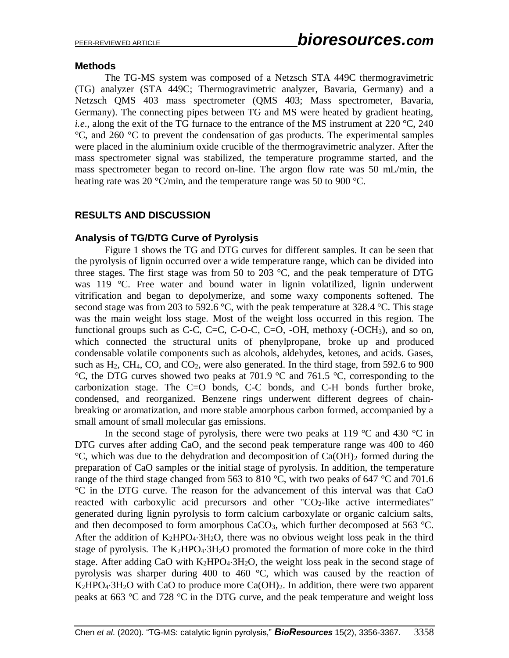### **Methods**

The TG-MS system was composed of a Netzsch STA 449C thermogravimetric (TG) analyzer (STA 449C; Thermogravimetric analyzer, Bavaria, Germany) and a Netzsch QMS 403 mass spectrometer (QMS 403; Mass spectrometer, Bavaria, Germany). The connecting pipes between TG and MS were heated by gradient heating, *i.e.*, along the exit of the TG furnace to the entrance of the MS instrument at 220 °C, 240 °C, and 260 °C to prevent the condensation of gas products. The experimental samples were placed in the aluminium oxide crucible of the thermogravimetric analyzer. After the mass spectrometer signal was stabilized, the temperature programme started, and the mass spectrometer began to record on-line. The argon flow rate was 50 mL/min, the heating rate was 20 °C/min, and the temperature range was 50 to 900 °C.

# **RESULTS AND DISCUSSION**

# **Analysis of TG/DTG Curve of Pyrolysis**

Figure 1 shows the TG and DTG curves for different samples. It can be seen that the pyrolysis of lignin occurred over a wide temperature range, which can be divided into three stages. The first stage was from 50 to 203  $^{\circ}$ C, and the peak temperature of DTG was 119 °C. Free water and bound water in lignin volatilized, lignin underwent vitrification and began to depolymerize, and some waxy components softened. The second stage was from 203 to 592.6 °C, with the peak temperature at 328.4 °C. This stage was the main weight loss stage. Most of the weight loss occurred in this region. The functional groups such as C-C, C=C, C-O-C, C=O, -OH, methoxy  $(-OCH<sub>3</sub>)$ , and so on, which connected the structural units of phenylpropane, broke up and produced condensable volatile components such as alcohols, aldehydes, ketones, and acids. Gases, such as  $H_2$ , CH<sub>4</sub>, CO, and CO<sub>2</sub>, were also generated. In the third stage, from 592.6 to 900 °C, the DTG curves showed two peaks at 701.9 °C and 761.5 °C, corresponding to the carbonization stage. The C=O bonds, C-C bonds, and C-H bonds further broke, condensed, and reorganized. Benzene rings underwent different degrees of chainbreaking or aromatization, and more stable amorphous carbon formed, accompanied by a small amount of small molecular gas emissions.

In the second stage of pyrolysis, there were two peaks at 119  $\degree$ C and 430  $\degree$ C in DTG curves after adding CaO, and the second peak temperature range was 400 to 460  $^{\circ}$ C, which was due to the dehydration and decomposition of Ca(OH)<sub>2</sub> formed during the preparation of CaO samples or the initial stage of pyrolysis. In addition, the temperature range of the third stage changed from 563 to 810 °C, with two peaks of 647 °C and 701.6 °C in the DTG curve. The reason for the advancement of this interval was that CaO reacted with carboxylic acid precursors and other " $CO<sub>2</sub>$ -like active intermediates" generated during lignin pyrolysis to form calcium carboxylate or organic calcium salts, and then decomposed to form amorphous CaCO<sub>3</sub>, which further decomposed at 563 °C. After the addition of  $K_2HPO_4 \cdot 3H_2O$ , there was no obvious weight loss peak in the third stage of pyrolysis. The  $K_2HPO_4 \cdot 3H_2O$  promoted the formation of more coke in the third stage. After adding CaO with  $K_2HPO_4 \cdot 3H_2O$ , the weight loss peak in the second stage of pyrolysis was sharper during 400 to 460 °C, which was caused by the reaction of  $K<sub>2</sub>HPO<sub>4</sub>·3H<sub>2</sub>O$  with CaO to produce more Ca(OH)<sub>2</sub>. In addition, there were two apparent peaks at 663 °C and 728 °C in the DTG curve, and the peak temperature and weight loss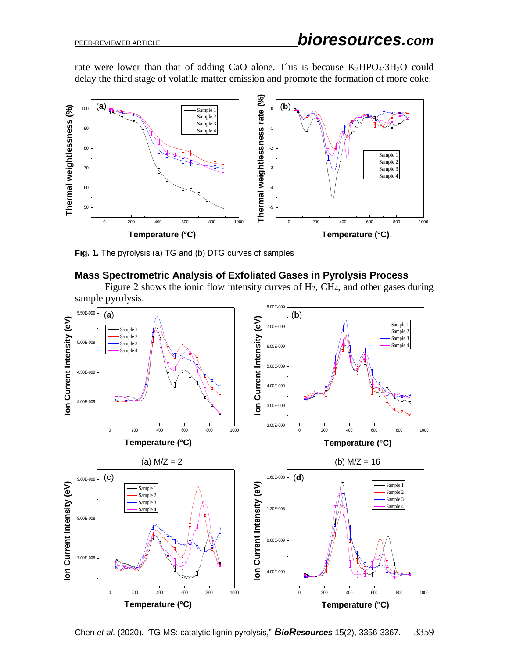rate were lower than that of adding CaO alone. This is because  $K_2HPO_4·3H_2O$  could delay the third stage of volatile matter emission and promote the formation of more coke.



**Fig. 1.** The pyrolysis (a) TG and (b) DTG curves of samples

### **Mass Spectrometric Analysis of Exfoliated Gases in Pyrolysis Process**

Figure 2 shows the ionic flow intensity curves of H2, CH4, and other gases during sample pyrolysis.

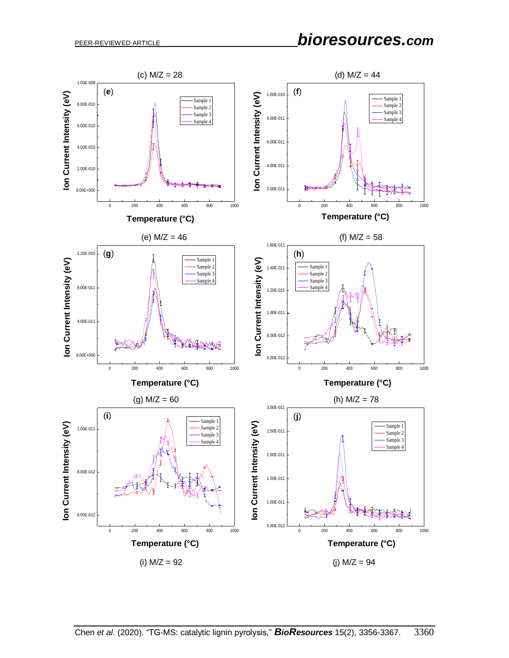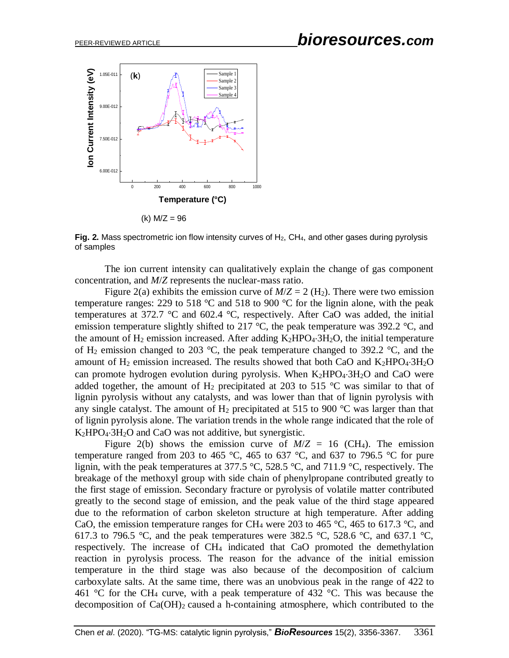

**Fig. 2.** Mass spectrometric ion flow intensity curves of H<sub>2</sub>, CH<sub>4</sub>, and other gases during pyrolysis of samples

The ion current intensity can qualitatively explain the change of gas component concentration, and *M*/*Z* represents the nuclear-mass ratio.

Figure 2(a) exhibits the emission curve of  $M/Z = 2$  (H<sub>2</sub>). There were two emission temperature ranges: 229 to 518 °C and 518 to 900 °C for the lignin alone, with the peak temperatures at 372.7 °C and 602.4 °C, respectively. After CaO was added, the initial emission temperature slightly shifted to 217  $\degree$ C, the peak temperature was 392.2  $\degree$ C, and the amount of  $H_2$  emission increased. After adding  $K_2HPO_4 \cdot 3H_2O$ , the initial temperature of H<sub>2</sub> emission changed to 203 °C, the peak temperature changed to 392.2 °C, and the amount of  $H_2$  emission increased. The results showed that both CaO and  $K_2HPO_4 \cdot 3H_2O$ can promote hydrogen evolution during pyrolysis. When  $K_2HPO_4 \cdot 3H_2O$  and CaO were added together, the amount of  $H_2$  precipitated at 203 to 515 °C was similar to that of lignin pyrolysis without any catalysts, and was lower than that of lignin pyrolysis with any single catalyst. The amount of  $H_2$  precipitated at 515 to 900 °C was larger than that of lignin pyrolysis alone. The variation trends in the whole range indicated that the role of K2HPO43H2O and CaO was not additive, but synergistic.

Figure 2(b) shows the emission curve of  $M/Z = 16$  (CH<sub>4</sub>). The emission temperature ranged from 203 to 465 °C, 465 to 637 °C, and 637 to 796.5 °C for pure lignin, with the peak temperatures at 377.5 °C, 528.5 °C, and 711.9 °C, respectively. The breakage of the methoxyl group with side chain of phenylpropane contributed greatly to the first stage of emission. Secondary fracture or pyrolysis of volatile matter contributed greatly to the second stage of emission, and the peak value of the third stage appeared due to the reformation of carbon skeleton structure at high temperature. After adding CaO, the emission temperature ranges for CH<sub>4</sub> were 203 to 465 °C, 465 to 617.3 °C, and 617.3 to 796.5 °C, and the peak temperatures were 382.5 °C, 528.6 °C, and 637.1 °C, respectively. The increase of CH<sup>4</sup> indicated that CaO promoted the demethylation reaction in pyrolysis process. The reason for the advance of the initial emission temperature in the third stage was also because of the decomposition of calcium carboxylate salts. At the same time, there was an unobvious peak in the range of 422 to 461 °C for the CH<sub>4</sub> curve, with a peak temperature of 432 °C. This was because the decomposition of  $Ca(OH)_2$  caused a h-containing atmosphere, which contributed to the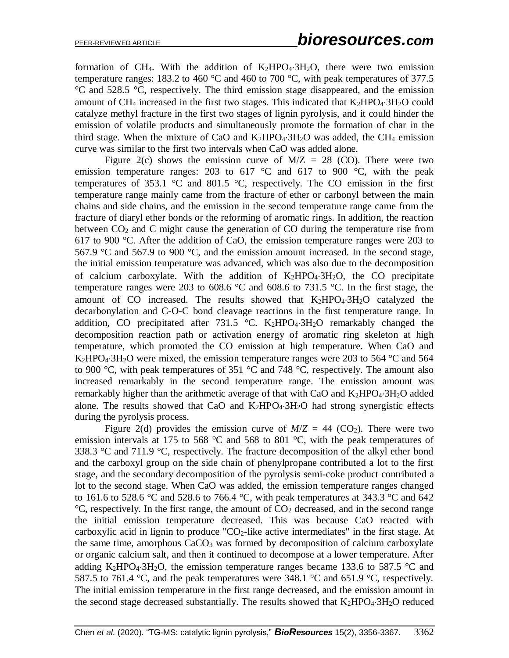formation of CH<sub>4</sub>. With the addition of  $K_2HPO_4 \cdot 3H_2O$ , there were two emission temperature ranges: 183.2 to 460 °C and 460 to 700 °C, with peak temperatures of 377.5 °C and 528.5 °C, respectively. The third emission stage disappeared, and the emission amount of CH<sub>4</sub> increased in the first two stages. This indicated that  $K_2HPO_4 \cdot 3H_2O$  could catalyze methyl fracture in the first two stages of lignin pyrolysis, and it could hinder the emission of volatile products and simultaneously promote the formation of char in the third stage. When the mixture of CaO and  $K_2HPO_4 \cdot 3H_2O$  was added, the CH<sub>4</sub> emission curve was similar to the first two intervals when CaO was added alone.

Figure 2(c) shows the emission curve of  $M/Z = 28$  (CO). There were two emission temperature ranges: 203 to 617  $\degree$ C and 617 to 900  $\degree$ C, with the peak temperatures of 353.1  $\degree$ C and 801.5  $\degree$ C, respectively. The CO emission in the first temperature range mainly came from the fracture of ether or carbonyl between the main chains and side chains, and the emission in the second temperature range came from the fracture of diaryl ether bonds or the reforming of aromatic rings. In addition, the reaction between  $CO<sub>2</sub>$  and C might cause the generation of CO during the temperature rise from 617 to 900 °C. After the addition of CaO, the emission temperature ranges were 203 to 567.9 °C and 567.9 to 900 °C, and the emission amount increased. In the second stage, the initial emission temperature was advanced, which was also due to the decomposition of calcium carboxylate. With the addition of  $K_2HPO_4 \cdot 3H_2O$ , the CO precipitate temperature ranges were 203 to 608.6  $\degree$ C and 608.6 to 731.5  $\degree$ C. In the first stage, the amount of CO increased. The results showed that  $K_2HPO_4·3H_2O$  catalyzed the decarbonylation and C-O-C bond cleavage reactions in the first temperature range. In addition, CO precipitated after 731.5 °C.  $K_2HPO_4 \cdot 3H_2O$  remarkably changed the decomposition reaction path or activation energy of aromatic ring skeleton at high temperature, which promoted the CO emission at high temperature. When CaO and K<sub>2</sub>HPO<sub>4</sub> $\cdot$ 3H<sub>2</sub>O were mixed, the emission temperature ranges were 203 to 564 °C and 564 to 900 °C, with peak temperatures of 351 °C and 748 °C, respectively. The amount also increased remarkably in the second temperature range. The emission amount was remarkably higher than the arithmetic average of that with CaO and  $K_2HPO_4 \cdot 3H_2O$  added alone. The results showed that CaO and  $K_2HPO_4 \cdot 3H_2O$  had strong synergistic effects during the pyrolysis process.

Figure 2(d) provides the emission curve of  $M/Z = 44$  (CO<sub>2</sub>). There were two emission intervals at 175 to 568 °C and 568 to 801 °C, with the peak temperatures of 338.3 °C and 711.9 °C, respectively. The fracture decomposition of the alkyl ether bond and the carboxyl group on the side chain of phenylpropane contributed a lot to the first stage, and the secondary decomposition of the pyrolysis semi-coke product contributed a lot to the second stage. When CaO was added, the emission temperature ranges changed to 161.6 to 528.6 °C and 528.6 to 766.4 °C, with peak temperatures at 343.3 °C and 642  $^{\circ}$ C, respectively. In the first range, the amount of CO<sub>2</sub> decreased, and in the second range the initial emission temperature decreased. This was because CaO reacted with carboxylic acid in lignin to produce " $CO<sub>2</sub>$ -like active intermediates" in the first stage. At the same time, amorphous  $CaCO<sub>3</sub>$  was formed by decomposition of calcium carboxylate or organic calcium salt, and then it continued to decompose at a lower temperature. After adding K<sub>2</sub>HPO<sub>4</sub>.3H<sub>2</sub>O, the emission temperature ranges became 133.6 to 587.5 °C and 587.5 to 761.4 °C, and the peak temperatures were 348.1 °C and 651.9 °C, respectively. The initial emission temperature in the first range decreased, and the emission amount in the second stage decreased substantially. The results showed that  $K_2HPO_4·3H_2O$  reduced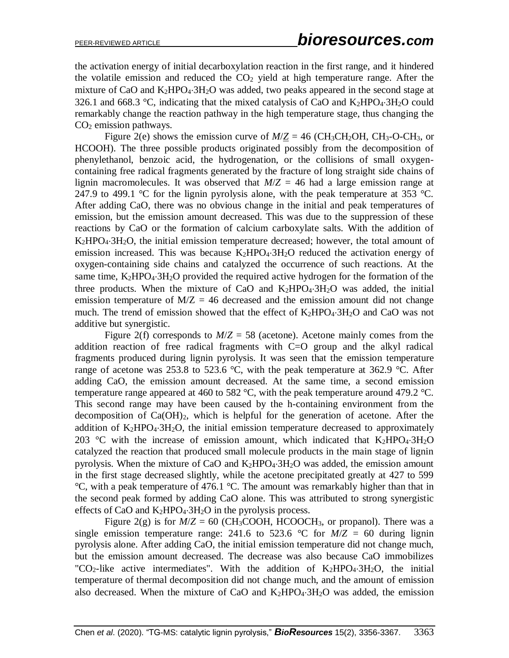the activation energy of initial decarboxylation reaction in the first range, and it hindered the volatile emission and reduced the  $CO<sub>2</sub>$  yield at high temperature range. After the mixture of CaO and  $K_2HPO_4 \cdot 3H_2O$  was added, two peaks appeared in the second stage at 326.1 and 668.3 °C, indicating that the mixed catalysis of CaO and  $K_2HPO_4 \cdot 3H_2O$  could remarkably change the reaction pathway in the high temperature stage, thus changing the  $CO<sub>2</sub>$  emission pathways.

Figure 2(e) shows the emission curve of  $M/Z = 46$  (CH<sub>3</sub>CH<sub>2</sub>OH, CH<sub>3</sub>-O-CH<sub>3</sub>, or HCOOH). The three possible products originated possibly from the decomposition of phenylethanol, benzoic acid, the hydrogenation, or the collisions of small oxygencontaining free radical fragments generated by the fracture of long straight side chains of lignin macromolecules. It was observed that  $M/Z = 46$  had a large emission range at 247.9 to 499.1 °C for the lignin pyrolysis alone, with the peak temperature at 353 °C. After adding CaO, there was no obvious change in the initial and peak temperatures of emission, but the emission amount decreased. This was due to the suppression of these reactions by CaO or the formation of calcium carboxylate salts. With the addition of  $K_2HPO_4 \cdot 3H_2O$ , the initial emission temperature decreased; however, the total amount of emission increased. This was because  $K_2HPO_4·3H_2O$  reduced the activation energy of oxygen-containing side chains and catalyzed the occurrence of such reactions. At the same time,  $K_2HPO_4 \cdot 3H_2O$  provided the required active hydrogen for the formation of the three products. When the mixture of CaO and  $K_2HPO_4 \cdot 3H_2O$  was added, the initial emission temperature of  $M/Z = 46$  decreased and the emission amount did not change much. The trend of emission showed that the effect of  $K_2HPO_4 \cdot 3H_2O$  and CaO was not additive but synergistic.

Figure 2(f) corresponds to  $M/Z = 58$  (acetone). Acetone mainly comes from the addition reaction of free radical fragments with C=O group and the alkyl radical fragments produced during lignin pyrolysis. It was seen that the emission temperature range of acetone was 253.8 to 523.6 °C, with the peak temperature at 362.9 °C. After adding CaO, the emission amount decreased. At the same time, a second emission temperature range appeared at 460 to 582 °C, with the peak temperature around 479.2 °C. This second range may have been caused by the h-containing environment from the decomposition of  $Ca(OH)_2$ , which is helpful for the generation of acetone. After the addition of  $K_2HPO_4 \cdot 3H_2O$ , the initial emission temperature decreased to approximately 203 °C with the increase of emission amount, which indicated that  $K_2HPO_4·3H_2O$ catalyzed the reaction that produced small molecule products in the main stage of lignin pyrolysis. When the mixture of CaO and  $K_2HPO_4·3H_2O$  was added, the emission amount in the first stage decreased slightly, while the acetone precipitated greatly at 427 to 599  $^{\circ}$ C, with a peak temperature of 476.1  $^{\circ}$ C. The amount was remarkably higher than that in the second peak formed by adding CaO alone. This was attributed to strong synergistic effects of CaO and  $K_2HPO_4 \cdot 3H_2O$  in the pyrolysis process.

Figure  $2(g)$  is for  $M/Z = 60$  (CH<sub>3</sub>COOH, HCOOCH<sub>3</sub>, or propanol). There was a single emission temperature range: 241.6 to 523.6 °C for  $M/Z = 60$  during lignin pyrolysis alone. After adding CaO, the initial emission temperature did not change much, but the emission amount decreased. The decrease was also because CaO immobilizes "CO<sub>2</sub>-like active intermediates". With the addition of  $K_2HPO_4·3H_2O$ , the initial temperature of thermal decomposition did not change much, and the amount of emission also decreased. When the mixture of CaO and  $K_2HPO_4 \cdot 3H_2O$  was added, the emission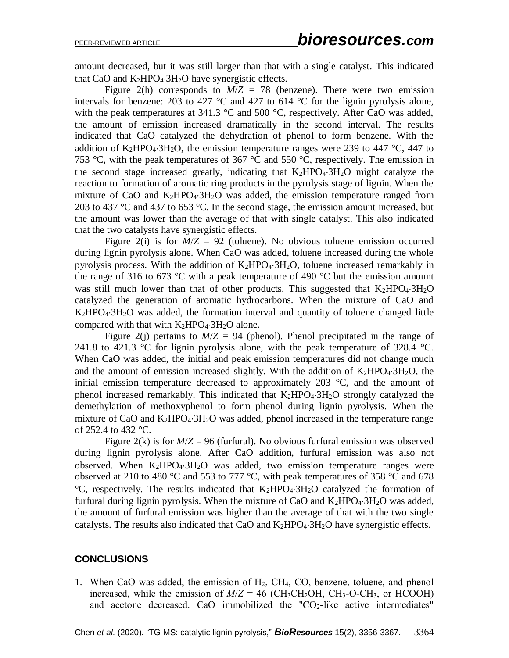amount decreased, but it was still larger than that with a single catalyst. This indicated that CaO and  $K_2HPO_4 \cdot 3H_2O$  have synergistic effects.

Figure 2(h) corresponds to  $M/Z = 78$  (benzene). There were two emission intervals for benzene: 203 to 427  $\degree$ C and 427 to 614  $\degree$ C for the lignin pyrolysis alone, with the peak temperatures at 341.3 °C and 500 °C, respectively. After CaO was added, the amount of emission increased dramatically in the second interval. The results indicated that CaO catalyzed the dehydration of phenol to form benzene. With the addition of K<sub>2</sub>HPO<sub>4</sub> $\cdot$ 3H<sub>2</sub>O, the emission temperature ranges were 239 to 447 °C, 447 to 753 °C, with the peak temperatures of 367 °C and 550 °C, respectively. The emission in the second stage increased greatly, indicating that  $K_2HPO_4 \cdot 3H_2O$  might catalyze the reaction to formation of aromatic ring products in the pyrolysis stage of lignin. When the mixture of CaO and  $K_2HPO_4 \cdot 3H_2O$  was added, the emission temperature ranged from 203 to 437 °C and 437 to 653 °C. In the second stage, the emission amount increased, but the amount was lower than the average of that with single catalyst. This also indicated that the two catalysts have synergistic effects.

Figure 2(i) is for  $M/Z = 92$  (toluene). No obvious toluene emission occurred during lignin pyrolysis alone. When CaO was added, toluene increased during the whole pyrolysis process. With the addition of  $K_2HPO_4 \cdot 3H_2O$ , toluene increased remarkably in the range of 316 to 673 °C with a peak temperature of 490 °C but the emission amount was still much lower than that of other products. This suggested that  $K_2HPO_4·3H_2O$ catalyzed the generation of aromatic hydrocarbons. When the mixture of CaO and  $K_2HPO_4 \cdot 3H_2O$  was added, the formation interval and quantity of toluene changed little compared with that with  $K_2HPO_4 \cdot 3H_2O$  alone.

Figure 2(j) pertains to  $M/Z = 94$  (phenol). Phenol precipitated in the range of 241.8 to 421.3  $\degree$ C for lignin pyrolysis alone, with the peak temperature of 328.4  $\degree$ C. When CaO was added, the initial and peak emission temperatures did not change much and the amount of emission increased slightly. With the addition of  $K_2HPO_4·3H_2O$ , the initial emission temperature decreased to approximately 203 °C, and the amount of phenol increased remarkably. This indicated that K2HPO43H2O strongly catalyzed the demethylation of methoxyphenol to form phenol during lignin pyrolysis. When the mixture of CaO and  $K_2HPO_4 \cdot 3H_2O$  was added, phenol increased in the temperature range of 252.4 to 432 °C.

Figure 2(k) is for  $M/Z = 96$  (furfural). No obvious furfural emission was observed during lignin pyrolysis alone. After CaO addition, furfural emission was also not observed. When  $K_2HPO_4 \cdot 3H_2O$  was added, two emission temperature ranges were observed at 210 to 480 °C and 553 to 777 °C, with peak temperatures of 358 °C and 678  $^{\circ}$ C, respectively. The results indicated that K<sub>2</sub>HPO<sub>4</sub>.3H<sub>2</sub>O catalyzed the formation of furfural during lignin pyrolysis. When the mixture of CaO and  $K_2HPO_4 \cdot 3H_2O$  was added, the amount of furfural emission was higher than the average of that with the two single catalysts. The results also indicated that CaO and  $K_2HPO_4 \cdot 3H_2O$  have synergistic effects.

#### **CONCLUSIONS**

1. When CaO was added, the emission of H2, CH4, CO, benzene, toluene, and phenol increased, while the emission of  $M/Z = 46$  (CH<sub>3</sub>CH<sub>2</sub>OH, CH<sub>3</sub>-O-CH<sub>3</sub>, or HCOOH) and acetone decreased. CaO immobilized the "CO<sub>2</sub>-like active intermediates"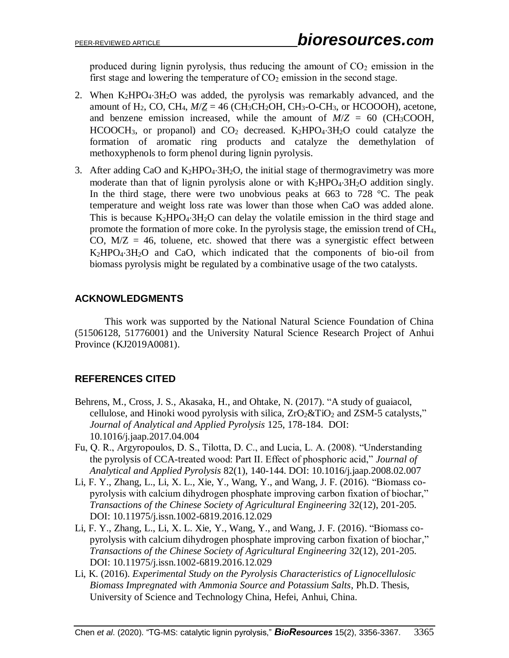produced during lignin pyrolysis, thus reducing the amount of  $CO<sub>2</sub>$  emission in the first stage and lowering the temperature of  $CO<sub>2</sub>$  emission in the second stage.

- 2. When  $K_2HPO_4 \cdot 3H_2O$  was added, the pyrolysis was remarkably advanced, and the amount of H<sub>2</sub>, CO, CH<sub>4</sub>,  $M/Z = 46$  (CH<sub>3</sub>CH<sub>2</sub>OH, CH<sub>3</sub>-O-CH<sub>3</sub>, or HCOOOH), acetone, and benzene emission increased, while the amount of  $M/Z = 60$  (CH<sub>3</sub>COOH, HCOOCH<sub>3</sub>, or propanol) and  $CO<sub>2</sub>$  decreased. K<sub>2</sub>HPO<sub>4</sub>.3H<sub>2</sub>O could catalyze the formation of aromatic ring products and catalyze the demethylation of methoxyphenols to form phenol during lignin pyrolysis.
- 3. After adding CaO and  $K_2HPO_4 \cdot 3H_2O$ , the initial stage of thermogravimetry was more moderate than that of lignin pyrolysis alone or with  $K_2HPO_4 \cdot 3H_2O$  addition singly. In the third stage, there were two unobvious peaks at 663 to 728 °C. The peak temperature and weight loss rate was lower than those when CaO was added alone. This is because  $K_2HPO_4 \cdot 3H_2O$  can delay the volatile emission in the third stage and promote the formation of more coke. In the pyrolysis stage, the emission trend of CH4, CO,  $M/Z = 46$ , toluene, etc. showed that there was a synergistic effect between K2HPO43H2O and CaO, which indicated that the components of bio-oil from biomass pyrolysis might be regulated by a combinative usage of the two catalysts.

# **ACKNOWLEDGMENTS**

This work was supported by the National Natural Science Foundation of China (51506128, 51776001) and the University Natural Science Research Project of Anhui Province (KJ2019A0081).

# **REFERENCES CITED**

- Behrens, M., Cross, J. S., Akasaka, H., and Ohtake, N. (2017). "A study of guaiacol, cellulose, and Hinoki wood pyrolysis with silica,  $ZrO_2\&TIO_2$  and  $ZSM-5$  catalysts," *Journal of Analytical and Applied Pyrolysis* 125, 178-184. DOI: 10.1016/j.jaap.2017.04.004
- Fu, Q. R., Argyropoulos, D. S., Tilotta, D. C., and Lucia, L. A. (2008). "Understanding the pyrolysis of CCA-treated wood: Part II. Effect of phosphoric acid," *Journal of Analytical and Applied Pyrolysis* 82(1), 140-144. DOI: 10.1016/j.jaap.2008.02.007
- Li, F. Y., Zhang, L., Li, X. L., Xie, Y., Wang, Y., and Wang, J. F. (2016). "Biomass copyrolysis with calcium dihydrogen phosphate improving carbon fixation of biochar," *Transactions of the Chinese Society of Agricultural Engineering* 32(12), 201-205. DOI: 10.11975/j.issn.1002-6819.2016.12.029
- Li, F. Y., Zhang, L., Li, X. L. Xie, Y., Wang, Y., and Wang, J. F. (2016). "Biomass copyrolysis with calcium dihydrogen phosphate improving carbon fixation of biochar," *Transactions of the Chinese Society of Agricultural Engineering* 32(12), 201-205. DOI: 10.11975/j.issn.1002-6819.2016.12.029
- Li, K. (2016). *Experimental Study on the Pyrolysis Characteristics of Lignocellulosic Biomass Impregnated with Ammonia Source and Potassium Salts*, Ph.D. Thesis, University of Science and Technology China, Hefei, Anhui, China.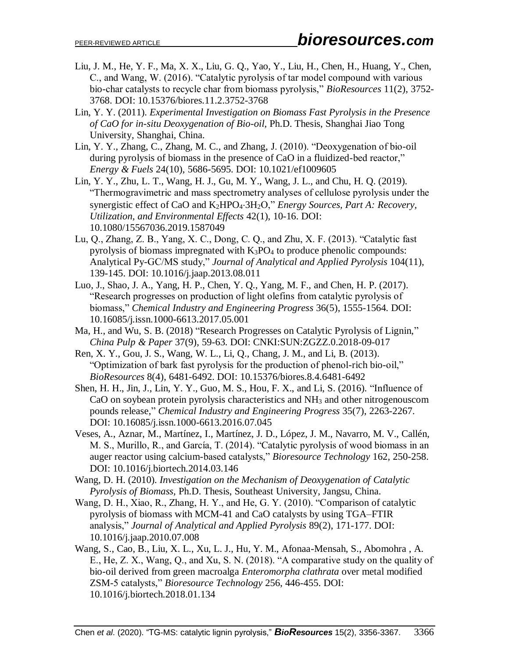- Liu, J. M., He, Y. F., Ma, X. X., Liu, G. Q., Yao, Y., Liu, H., Chen, H., Huang, Y., Chen, C., and Wang, W. (2016). "Catalytic pyrolysis of tar model compound with various bio-char catalysts to recycle char from biomass pyrolysis," *BioResources* 11(2), 3752- 3768. DOI: 10.15376/biores.11.2.3752-3768
- Lin, Y. Y. (2011). *Experimental Investigation on Biomass Fast Pyrolysis in the Presence of CaO for in-situ Deoxygenation of Bio-oil*, Ph.D. Thesis, Shanghai Jiao Tong University, Shanghai, China.
- Lin, Y. Y., Zhang, C., Zhang, M. C., and Zhang, J. (2010). "Deoxygenation of bio-oil during pyrolysis of biomass in the presence of CaO in a fluidized-bed reactor," *Energy & Fuels* 24(10), 5686-5695. DOI: 10.1021/ef1009605
- Lin, Y. Y., Zhu, L. T., Wang, H. J., Gu, M. Y., Wang, J. L., and Chu, H. Q. (2019). "Thermogravimetric and mass spectrometry analyses of cellulose pyrolysis under the synergistic effect of CaO and K2HPO43H2O," *Energy Sources, Part A: Recovery, Utilization, and Environmental Effects* 42(1), 10-16. DOI: 10.1080/15567036.2019.1587049
- Lu, Q., Zhang, Z. B., Yang, X. C., Dong, C. Q., and Zhu, X. F. (2013). "Catalytic fast pyrolysis of biomass impregnated with  $K_3PO_4$  to produce phenolic compounds: Analytical Py-GC/MS study," *Journal of Analytical and Applied Pyrolysis* 104(11), 139-145. DOI: 10.1016/j.jaap.2013.08.011
- Luo, J., Shao, J. A., Yang, H. P., Chen, Y. Q., Yang, M. F., and Chen, H. P. (2017). "Research progresses on production of light olefins from catalytic pyrolysis of biomass," *Chemical Industry and Engineering Progress* 36(5), 1555-1564. DOI: 10.16085/j.issn.1000-6613.2017.05.001
- Ma, H., and Wu, S. B. (2018) "Research Progresses on Catalytic Pyrolysis of Lignin," *China Pulp & Paper* 37(9), 59-63. DOI: CNKI:SUN:ZGZZ.0.2018-09-017
- Ren, X. Y., Gou, J. S., Wang, W. L., Li, Q., Chang, J. M., and Li, B. (2013). "Optimization of bark fast pyrolysis for the production of phenol-rich bio-oil," *BioResources* 8(4), 6481-6492. DOI: 10.15376/biores.8.4.6481-6492
- Shen, H. H., Jin, J., Lin, Y. Y., Guo, M. S., Hou, F. X., and Li, S. (2016). "Influence of CaO on soybean protein pyrolysis characteristics and NH<sup>3</sup> and other nitrogenouscom pounds release," *Chemical Industry and Engineering Progress* 35(7), 2263-2267. DOI: 10.16085/j.issn.1000-6613.2016.07.045
- Veses, A., Aznar, M., Martínez, I., Martínez, J. D., López, J. M., Navarro, M. V., Callén, M. S., Murillo, R., and García, T. (2014). "Catalytic pyrolysis of wood biomass in an auger reactor using calcium-based catalysts," *Bioresource Technology* 162, 250-258. DOI: 10.1016/j.biortech.2014.03.146
- Wang, D. H. (2010). *Investigation on the Mechanism of Deoxygenation of Catalytic Pyrolysis of Biomass,* Ph.D. Thesis, Southeast University, Jangsu, China.
- Wang, D. H., Xiao, R., Zhang, H. Y., and He, G. Y. (2010). "Comparison of catalytic pyrolysis of biomass with MCM-41 and CaO catalysts by using TGA–FTIR analysis," *Journal of Analytical and Applied Pyrolysis* 89(2), 171-177. DOI: 10.1016/j.jaap.2010.07.008
- Wang, S., Cao, B., Liu, X. L., Xu, L. J., Hu, Y. M., Afonaa-Mensah, S., Abomohra , A. E., He, Z. X., Wang, Q., and Xu, S. N. (2018). "A comparative study on the quality of bio-oil derived from green macroalga *Enteromorpha clathrata* over metal modified ZSM-5 catalysts," *Bioresource Technology* 256, 446-455. DOI: 10.1016/j.biortech.2018.01.134